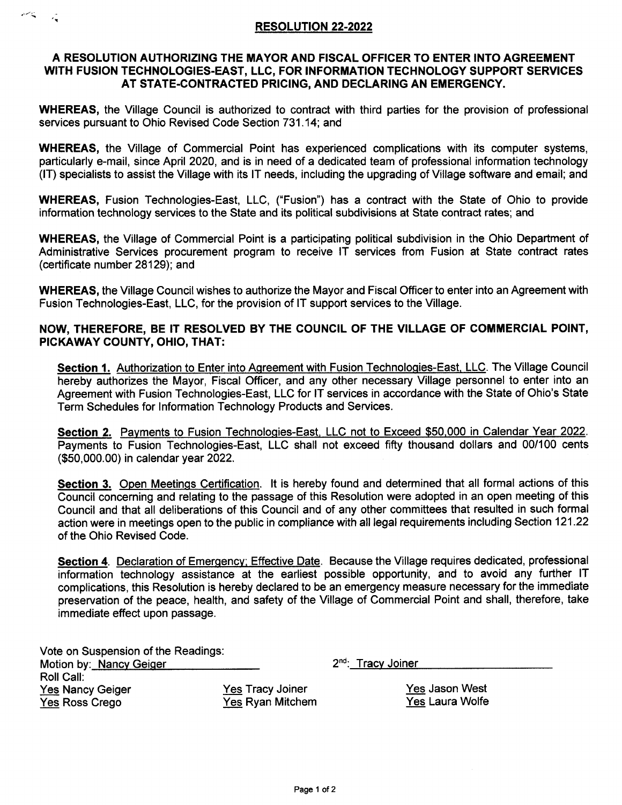## RESOLUTION 22-2022

الميتاسيس

 $\mathcal{L}_{\mathbf{R}}$ 

## A RESOLUTION AUTHORIZING THE MAYOR AND FISCAL OFFICER TO ENTER INTO AGREEMENT WITH FUSION TECHNOLOGIES.EAST, LLC, FOR INFORMATION TECHNOLOGY SUPPORT SERVICES AT STATE.CONTRACTED PRICING, AND DECLARING AN EMERGENCY.

WHEREAS, the Village Council is authorized to contract with third parties for the provision of professional services pursuant to Ohio Revised Code Section 731.14; and

WHEREAS, the Village of Commercial Point has experienced complications with its computer systems, particularly e-mail, since April 2020, and is in need of a dedicated team of professional information technology (lT) specialists to assist the Village with its lT needs, including the upgrading of Village software and email; and

WHEREAS, Fusion Technologies-East, LLC, ("Fusion") has a contract with the State of Ohio to provide information technology services to the State and its political subdivisions at State contract rates; and

WHEREAS, the Village of Commercial Point is a participating political subdivision in the Ohio Department of Administrative Services procurement program to receive lT services from Fusion at State contract rates (certificate number 28129); and

WHEREAS, the Village Council wishes to authorize the Mayor and Fiscal Officer to enter into an Agreement with Fusion Technologies-East, LLC, for the provision of lT support services to the Village.

## NOW, THEREFORE, BE IT RESOLVED BY THE COUNCIL OF THE VILLAGE OF COMMERCIAL POINT, PIGKAWAY GOUNTY, OHIO, THAT:

Section 1. Authorization to Enter into Agreement with Fusion Technologies-East, LLC. The Village Council hereby authorizes the Mayor, Fiscal Officer, and any other necessary Village personnel to enter into an Agreement with Fusion Technologies-East, LLC for lT services in accordance with the State of Ohio's State Term Schedules for lnformation Technology Products and Services.

Section 2. Payments to Fusion Technologies-East. LLC not to Exceed \$50,000 in Calendar Year 2022. Payments to Fusion Technologies-East, LLC shall not exceed fifty thousand dollars and 00/100 cents (\$50,000.00) in calendar year 2022.

Section 3. Open Meetings Certification. It is hereby found and determined that all formal actions of this Council concerning and relating to the passage of this Resolution were adopted in an open meeting of this Council and that all deliberations of this Council and of any other committees that resulted in such formal action were in meetings open to the public in compliance with all legal requirements including Section 121.22 of the Ohio Revised Code.

Section 4. Declaration of Emergency; Effective Date. Because the Village requires dedicated, professional information technology assistance at the earliest possible opportunity, and to avoid any further lT complications, this Resolution is hereby declared to be an emergency measure necessary for the immediate preservation of the peace, health, and safety of the Village of Commercial Point and shall, therefore, take immediate effect upon passage.

| Vote on Suspension of the Readings: |                         |                                |
|-------------------------------------|-------------------------|--------------------------------|
| Motion by: Nancy Geiger             |                         | 2 <sup>nd</sup> : Tracy Joiner |
| Roll Call:                          |                         |                                |
| <b>Yes Nancy Geiger</b>             | <b>Yes Tracy Joiner</b> | Yes Jason West                 |
| Yes Ross Crego                      | Yes Ryan Mitchem        | Yes Laura Wolfe                |